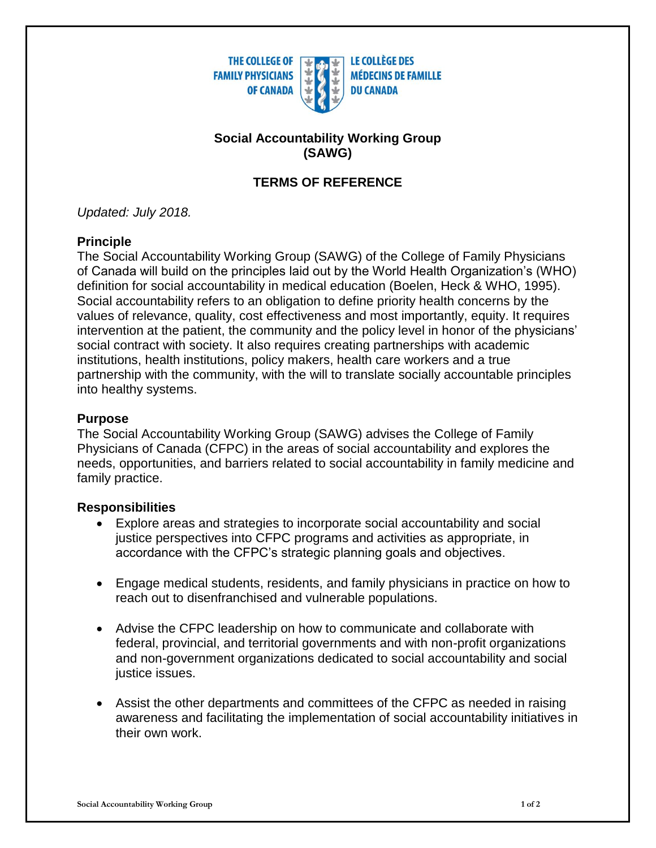

### **Social Accountability Working Group (SAWG)**

# **TERMS OF REFERENCE**

*Updated: July 2018.*

### **Principle**

The Social Accountability Working Group (SAWG) of the College of Family Physicians of Canada will build on the principles laid out by the World Health Organization's (WHO) definition for social accountability in medical education (Boelen, Heck & WHO, 1995). Social accountability refers to an obligation to define priority health concerns by the values of relevance, quality, cost effectiveness and most importantly, equity. It requires intervention at the patient, the community and the policy level in honor of the physicians' social contract with society. It also requires creating partnerships with academic institutions, health institutions, policy makers, health care workers and a true partnership with the community, with the will to translate socially accountable principles into healthy systems.

### **Purpose**

The Social Accountability Working Group (SAWG) advises the College of Family Physicians of Canada (CFPC) in the areas of social accountability and explores the needs, opportunities, and barriers related to social accountability in family medicine and family practice.

## **Responsibilities**

- Explore areas and strategies to incorporate social accountability and social justice perspectives into CFPC programs and activities as appropriate, in accordance with the CFPC's strategic planning goals and objectives.
- Engage medical students, residents, and family physicians in practice on how to reach out to disenfranchised and vulnerable populations.
- Advise the CFPC leadership on how to communicate and collaborate with federal, provincial, and territorial governments and with non-profit organizations and non-government organizations dedicated to social accountability and social justice issues.
- Assist the other departments and committees of the CFPC as needed in raising awareness and facilitating the implementation of social accountability initiatives in their own work.